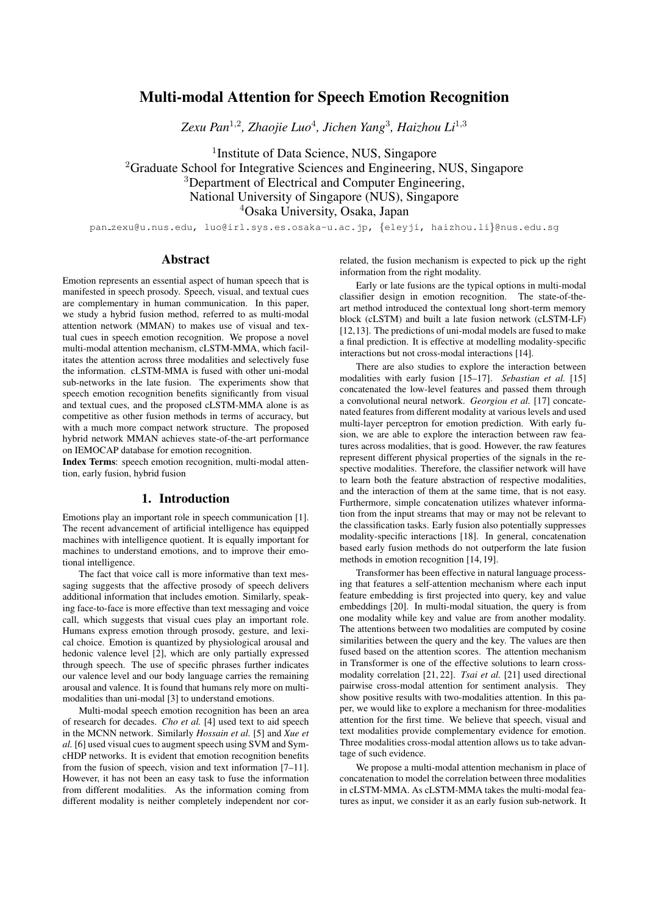# Multi-modal Attention for Speech Emotion Recognition

*Zexu Pan*<sup>1</sup>,<sup>2</sup> *, Zhaojie Luo*<sup>4</sup> *, Jichen Yang*<sup>3</sup> *, Haizhou Li*<sup>1</sup>,<sup>3</sup>

<sup>1</sup>Institute of Data Science, NUS, Singapore <sup>2</sup>Graduate School for Integrative Sciences and Engineering, NUS, Singapore <sup>3</sup>Department of Electrical and Computer Engineering, National University of Singapore (NUS), Singapore <sup>4</sup>Osaka University, Osaka, Japan

pan zexu@u.nus.edu, luo@irl.sys.es.osaka-u.ac.jp, {eleyji, haizhou.li}@nus.edu.sg

## **Abstract**

Emotion represents an essential aspect of human speech that is manifested in speech prosody. Speech, visual, and textual cues are complementary in human communication. In this paper, we study a hybrid fusion method, referred to as multi-modal attention network (MMAN) to makes use of visual and textual cues in speech emotion recognition. We propose a novel multi-modal attention mechanism, cLSTM-MMA, which facilitates the attention across three modalities and selectively fuse the information. cLSTM-MMA is fused with other uni-modal sub-networks in the late fusion. The experiments show that speech emotion recognition benefits significantly from visual and textual cues, and the proposed cLSTM-MMA alone is as competitive as other fusion methods in terms of accuracy, but with a much more compact network structure. The proposed hybrid network MMAN achieves state-of-the-art performance on IEMOCAP database for emotion recognition.

Index Terms: speech emotion recognition, multi-modal attention, early fusion, hybrid fusion

## 1. Introduction

Emotions play an important role in speech communication [1]. The recent advancement of artificial intelligence has equipped machines with intelligence quotient. It is equally important for machines to understand emotions, and to improve their emotional intelligence.

The fact that voice call is more informative than text messaging suggests that the affective prosody of speech delivers additional information that includes emotion. Similarly, speaking face-to-face is more effective than text messaging and voice call, which suggests that visual cues play an important role. Humans express emotion through prosody, gesture, and lexical choice. Emotion is quantized by physiological arousal and hedonic valence level [2], which are only partially expressed through speech. The use of specific phrases further indicates our valence level and our body language carries the remaining arousal and valence. It is found that humans rely more on multimodalities than uni-modal [3] to understand emotions.

Multi-modal speech emotion recognition has been an area of research for decades. *Cho et al.* [4] used text to aid speech in the MCNN network. Similarly *Hossain et al.* [5] and *Xue et al.* [6] used visual cues to augment speech using SVM and SymcHDP networks. It is evident that emotion recognition benefits from the fusion of speech, vision and text information [7–11]. However, it has not been an easy task to fuse the information from different modalities. As the information coming from different modality is neither completely independent nor correlated, the fusion mechanism is expected to pick up the right information from the right modality.

Early or late fusions are the typical options in multi-modal classifier design in emotion recognition. The state-of-theart method introduced the contextual long short-term memory block (cLSTM) and built a late fusion network (cLSTM-LF) [12,13]. The predictions of uni-modal models are fused to make a final prediction. It is effective at modelling modality-specific interactions but not cross-modal interactions [14].

There are also studies to explore the interaction between modalities with early fusion [15–17]. *Sebastian et al.* [15] concatenated the low-level features and passed them through a convolutional neural network. *Georgiou et al.* [17] concatenated features from different modality at various levels and used multi-layer perceptron for emotion prediction. With early fusion, we are able to explore the interaction between raw features across modalities, that is good. However, the raw features represent different physical properties of the signals in the respective modalities. Therefore, the classifier network will have to learn both the feature abstraction of respective modalities, and the interaction of them at the same time, that is not easy. Furthermore, simple concatenation utilizes whatever information from the input streams that may or may not be relevant to the classification tasks. Early fusion also potentially suppresses modality-specific interactions [18]. In general, concatenation based early fusion methods do not outperform the late fusion methods in emotion recognition [14, 19].

Transformer has been effective in natural language processing that features a self-attention mechanism where each input feature embedding is first projected into query, key and value embeddings [20]. In multi-modal situation, the query is from one modality while key and value are from another modality. The attentions between two modalities are computed by cosine similarities between the query and the key. The values are then fused based on the attention scores. The attention mechanism in Transformer is one of the effective solutions to learn crossmodality correlation [21, 22]. *Tsai et al.* [21] used directional pairwise cross-modal attention for sentiment analysis. They show positive results with two-modalities attention. In this paper, we would like to explore a mechanism for three-modalities attention for the first time. We believe that speech, visual and text modalities provide complementary evidence for emotion. Three modalities cross-modal attention allows us to take advantage of such evidence.

We propose a multi-modal attention mechanism in place of concatenation to model the correlation between three modalities in cLSTM-MMA. As cLSTM-MMA takes the multi-modal features as input, we consider it as an early fusion sub-network. It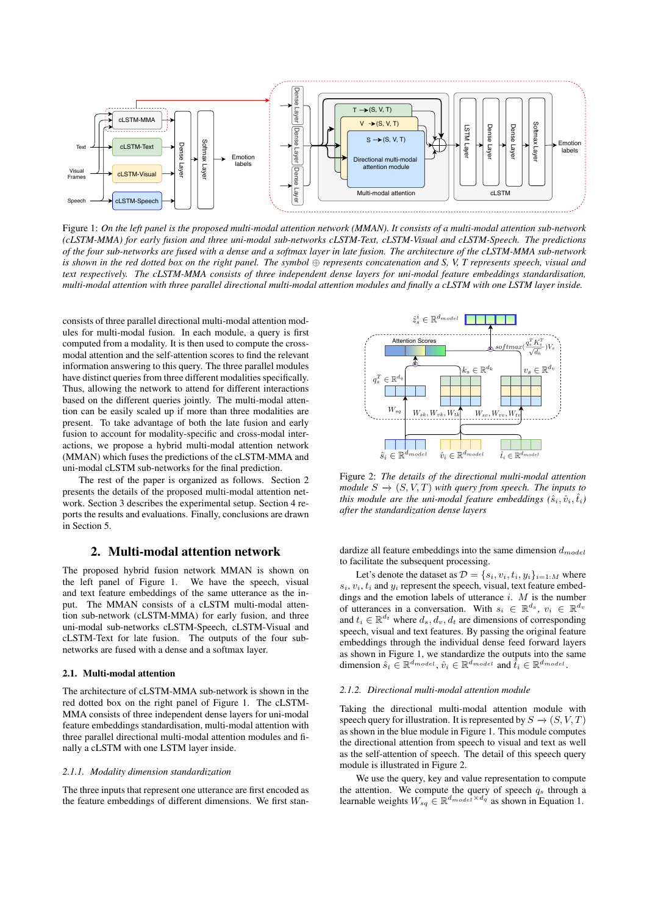

Figure 1: *On the left panel is the proposed multi-modal attention network (MMAN). It consists of a multi-modal attention sub-network (cLSTM-MMA) for early fusion and three uni-modal sub-networks cLSTM-Text, cLSTM-Visual and cLSTM-Speech. The predictions of the four sub-networks are fused with a dense and a softmax layer in late fusion. The architecture of the cLSTM-MMA sub-network is shown in the red dotted box on the right panel. The symbol* ⊕ *represents concatenation and S, V, T represents speech, visual and text respectively. The cLSTM-MMA consists of three independent dense layers for uni-modal feature embeddings standardisation, multi-modal attention with three parallel directional multi-modal attention modules and finally a cLSTM with one LSTM layer inside.*

consists of three parallel directional multi-modal attention modules for multi-modal fusion. In each module, a query is first computed from a modality. It is then used to compute the crossmodal attention and the self-attention scores to find the relevant information answering to this query. The three parallel modules have distinct queries from three different modalities specifically. Thus, allowing the network to attend for different interactions based on the different queries jointly. The multi-modal attention can be easily scaled up if more than three modalities are present. To take advantage of both the late fusion and early fusion to account for modality-specific and cross-modal interactions, we propose a hybrid multi-modal attention network (MMAN) which fuses the predictions of the cLSTM-MMA and uni-modal cLSTM sub-networks for the final prediction.

The rest of the paper is organized as follows. Section 2 presents the details of the proposed multi-modal attention network. Section 3 describes the experimental setup. Section 4 reports the results and evaluations. Finally, conclusions are drawn in Section 5.

## 2. Multi-modal attention network

The proposed hybrid fusion network MMAN is shown on the left panel of Figure 1. We have the speech, visual and text feature embeddings of the same utterance as the input. The MMAN consists of a cLSTM multi-modal attention sub-network (cLSTM-MMA) for early fusion, and three uni-modal sub-networks cLSTM-Speech, cLSTM-Visual and cLSTM-Text for late fusion. The outputs of the four subnetworks are fused with a dense and a softmax layer.

### 2.1. Multi-modal attention

The architecture of cLSTM-MMA sub-network is shown in the red dotted box on the right panel of Figure 1. The cLSTM-MMA consists of three independent dense layers for uni-modal feature embeddings standardisation, multi-modal attention with three parallel directional multi-modal attention modules and finally a cLSTM with one LSTM layer inside.

#### *2.1.1. Modality dimension standardization*

The three inputs that represent one utterance are first encoded as the feature embeddings of different dimensions. We first stan-



Figure 2: *The details of the directional multi-modal attention module*  $S \to (S, V, T)$  *with query from speech. The inputs to this module are the uni-modal feature embeddings*  $(\hat{s}_i, \hat{v}_i, \hat{t}_i)$ *after the standardization dense layers*

dardize all feature embeddings into the same dimension  $d_{model}$ to facilitate the subsequent processing.

Let's denote the dataset as  $D = \{s_i, v_i, t_i, y_i\}_{i=1:M}$  where  $s_i, v_i, t_i$  and  $y_i$  represent the speech, visual, text feature embeddings and the emotion labels of utterance  $i$ .  $M$  is the number of utterances in a conversation. With  $s_i \in \mathbb{R}^{d_s}$ ,  $v_i \in \mathbb{R}^{d_v}$ and  $t_i \in \mathbb{R}^{d_t}$  where  $d_s, d_v, d_t$  are dimensions of corresponding speech, visual and text features. By passing the original feature embeddings through the individual dense feed forward layers as shown in Figure 1, we standardize the outputs into the same dimension  $\hat{s}_i \in \mathbb{R}^{d_{model}}$ ,  $\hat{v}_i \in \mathbb{R}^{d_{model}}$  and  $\hat{t}_i \in \mathbb{R}^{d_{model}}$ .

#### *2.1.2. Directional multi-modal attention module*

Taking the directional multi-modal attention module with speech query for illustration. It is represented by  $S \to (S, V, T)$ as shown in the blue module in Figure 1. This module computes the directional attention from speech to visual and text as well as the self-attention of speech. The detail of this speech query module is illustrated in Figure 2.

We use the query, key and value representation to compute the attention. We compute the query of speech  $q_s$  through a learnable weights  $W_{sq} \in \mathbb{R}^{d_{model} \times d_q}$  as shown in Equation 1.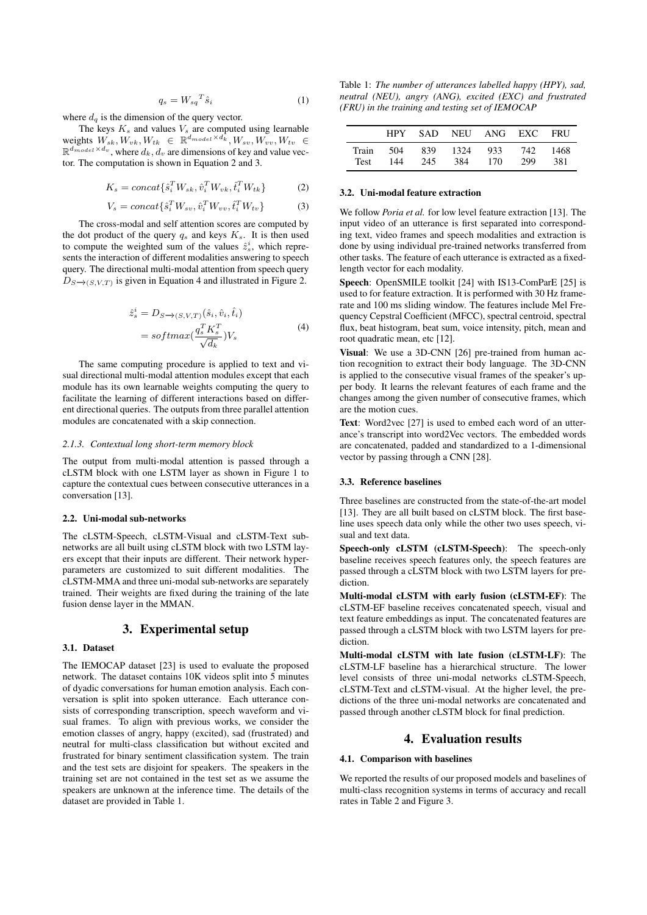$$
q_s = W_{sq}^T \hat{s}_i \tag{1}
$$

where  $d_q$  is the dimension of the query vector.

The keys  $K_s$  and values  $V_s$  are computed using learnable weights  $W_{sk}, W_{vk}, W_{tk} \in \mathbb{R}^{d_{model} \times d_k}$ ,  $W_{sv}, W_{vv}, W_{tv} \in$  $\mathbb{R}^{d_{model} \times d_v}$ , where  $d_k, d_v$  are dimensions of key and value vector. The computation is shown in Equation 2 and 3.

$$
K_s = concat\{\hat{s}_i^T W_{sk}, \hat{v}_i^T W_{vk}, \hat{t}_i^T W_{tk}\}\
$$
 (2)

$$
V_s = concat\{\hat{s}_i^T W_{sv}, \hat{v}_i^T W_{vv}, \hat{t}_i^T W_{tv}\}
$$
 (3)

The cross-modal and self attention scores are computed by the dot product of the query  $q_s$  and keys  $K_s$ . It is then used to compute the weighted sum of the values  $\hat{z}_s^i$ , which represents the interaction of different modalities answering to speech query. The directional multi-modal attention from speech query  $D_{S\rightarrow (S,V,T)}$  is given in Equation 4 and illustrated in Figure 2.

$$
\begin{aligned} \hat{z}_s^i &= D_{S \to (S, V, T)}(\hat{s}_i, \hat{v}_i, \hat{t}_i) \\ &= softmax(\frac{q_s^T K_s^T}{\sqrt{d_k}}) V_s \end{aligned} \tag{4}
$$

The same computing procedure is applied to text and visual directional multi-modal attention modules except that each module has its own learnable weights computing the query to facilitate the learning of different interactions based on different directional queries. The outputs from three parallel attention modules are concatenated with a skip connection.

### *2.1.3. Contextual long short-term memory block*

The output from multi-modal attention is passed through a cLSTM block with one LSTM layer as shown in Figure 1 to capture the contextual cues between consecutive utterances in a conversation [13].

### 2.2. Uni-modal sub-networks

The cLSTM-Speech, cLSTM-Visual and cLSTM-Text subnetworks are all built using cLSTM block with two LSTM layers except that their inputs are different. Their network hyperparameters are customized to suit different modalities. The cLSTM-MMA and three uni-modal sub-networks are separately trained. Their weights are fixed during the training of the late fusion dense layer in the MMAN.

## 3. Experimental setup

### 3.1. Dataset

The IEMOCAP dataset [23] is used to evaluate the proposed network. The dataset contains 10K videos split into 5 minutes of dyadic conversations for human emotion analysis. Each conversation is split into spoken utterance. Each utterance consists of corresponding transcription, speech waveform and visual frames. To align with previous works, we consider the emotion classes of angry, happy (excited), sad (frustrated) and neutral for multi-class classification but without excited and frustrated for binary sentiment classification system. The train and the test sets are disjoint for speakers. The speakers in the training set are not contained in the test set as we assume the speakers are unknown at the inference time. The details of the dataset are provided in Table 1.

Table 1: *The number of utterances labelled happy (HPY), sad, neutral (NEU), angry (ANG), excited (EXC) and frustrated (FRU) in the training and testing set of IEMOCAP*

|      |     |     |     | HPY SAD NEU ANG EXC FRU                  |     |     |
|------|-----|-----|-----|------------------------------------------|-----|-----|
| Test | 144 | 245 | 384 | Train 504 839 1324 933 742 1468<br>- 170 | 299 | 381 |

### 3.2. Uni-modal feature extraction

We follow *Poria et al.* for low level feature extraction [13]. The input video of an utterance is first separated into corresponding text, video frames and speech modalities and extraction is done by using individual pre-trained networks transferred from other tasks. The feature of each utterance is extracted as a fixedlength vector for each modality.

Speech: OpenSMILE toolkit [24] with IS13-ComParE [25] is used to for feature extraction. It is performed with 30 Hz framerate and 100 ms sliding window. The features include Mel Frequency Cepstral Coefficient (MFCC), spectral centroid, spectral flux, beat histogram, beat sum, voice intensity, pitch, mean and root quadratic mean, etc [12].

Visual: We use a 3D-CNN [26] pre-trained from human action recognition to extract their body language. The 3D-CNN is applied to the consecutive visual frames of the speaker's upper body. It learns the relevant features of each frame and the changes among the given number of consecutive frames, which are the motion cues.

Text: Word2vec [27] is used to embed each word of an utterance's transcript into word2Vec vectors. The embedded words are concatenated, padded and standardized to a 1-dimensional vector by passing through a CNN [28].

### 3.3. Reference baselines

Three baselines are constructed from the state-of-the-art model [13]. They are all built based on cLSTM block. The first baseline uses speech data only while the other two uses speech, visual and text data.

Speech-only cLSTM (cLSTM-Speech): The speech-only baseline receives speech features only, the speech features are passed through a cLSTM block with two LSTM layers for prediction.

Multi-modal cLSTM with early fusion (cLSTM-EF): The cLSTM-EF baseline receives concatenated speech, visual and text feature embeddings as input. The concatenated features are passed through a cLSTM block with two LSTM layers for prediction.

Multi-modal cLSTM with late fusion (cLSTM-LF): The cLSTM-LF baseline has a hierarchical structure. The lower level consists of three uni-modal networks cLSTM-Speech, cLSTM-Text and cLSTM-visual. At the higher level, the predictions of the three uni-modal networks are concatenated and passed through another cLSTM block for final prediction.

## 4. Evaluation results

### 4.1. Comparison with baselines

We reported the results of our proposed models and baselines of multi-class recognition systems in terms of accuracy and recall rates in Table 2 and Figure 3.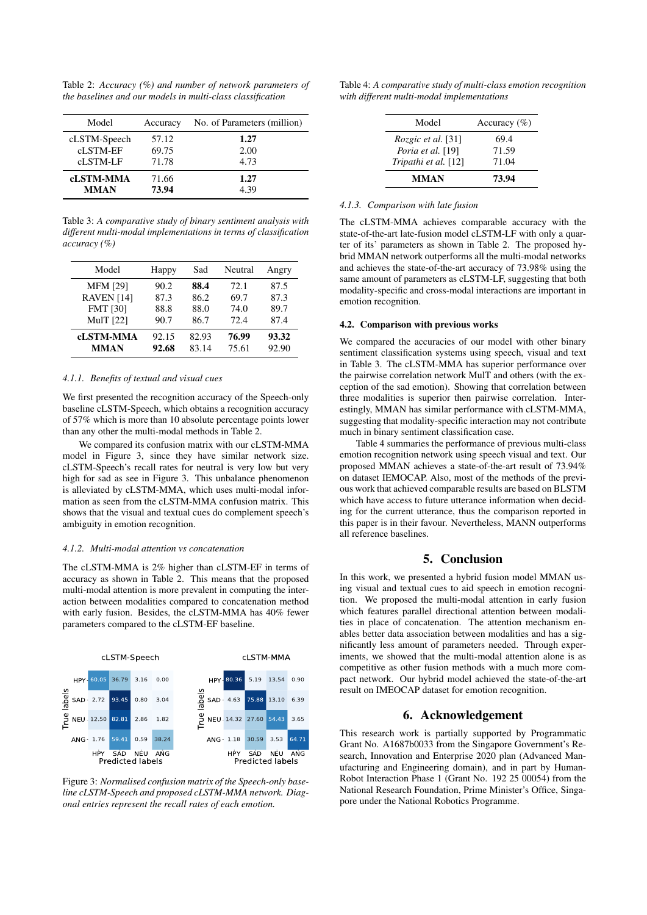Table 2: *Accuracy (%) and number of network parameters of the baselines and our models in multi-class classification*

| Model            | Accuracy | No. of Parameters (million) |
|------------------|----------|-----------------------------|
| cLSTM-Speech     | 57.12    | 1.27                        |
| cLSTM-EF         | 69.75    | 2.00                        |
| cLSTM-LF         | 71.78    | 4.73                        |
| <b>cLSTM-MMA</b> | 71.66    | 1.27                        |
| <b>MMAN</b>      | 73.94    | 4.39                        |

Table 3: *A comparative study of binary sentiment analysis with different multi-modal implementations in terms of classification accuracy (%)*

| Model             | Happy | Sad   | Neutral | Angry |
|-------------------|-------|-------|---------|-------|
| <b>MFM [29]</b>   | 90.2  | 88.4  | 72.1    | 87.5  |
| <b>RAVEN</b> [14] | 87.3  | 86.2  | 69.7    | 87.3  |
| <b>FMT [30]</b>   | 88.8  | 88.0  | 74.0    | 89.7  |
| <b>MulT</b> [22]  | 90.7  | 86.7  | 72.4    | 87.4  |
| <b>cLSTM-MMA</b>  | 92.15 | 82.93 | 76.99   | 93.32 |
| <b>MMAN</b>       | 92.68 | 83.14 | 75.61   | 92.90 |

### *4.1.1. Benefits of textual and visual cues*

We first presented the recognition accuracy of the Speech-only baseline cLSTM-Speech, which obtains a recognition accuracy of 57% which is more than 10 absolute percentage points lower than any other the multi-modal methods in Table 2.

We compared its confusion matrix with our cLSTM-MMA model in Figure 3, since they have similar network size. cLSTM-Speech's recall rates for neutral is very low but very high for sad as see in Figure 3. This unbalance phenomenon is alleviated by cLSTM-MMA, which uses multi-modal information as seen from the cLSTM-MMA confusion matrix. This shows that the visual and textual cues do complement speech's ambiguity in emotion recognition.

#### *4.1.2. Multi-modal attention vs concatenation*

The cLSTM-MMA is 2% higher than cLSTM-EF in terms of accuracy as shown in Table 2. This means that the proposed multi-modal attention is more prevalent in computing the interaction between modalities compared to concatenation method with early fusion. Besides, the cLSTM-MMA has 40% fewer parameters compared to the cLSTM-EF baseline.



Figure 3: *Normalised confusion matrix of the Speech-only baseline cLSTM-Speech and proposed cLSTM-MMA network. Diagonal entries represent the recall rates of each emotion.*

Table 4: *A comparative study of multi-class emotion recognition with different multi-modal implementations*

| Model                | Accuracy $(\% )$ |  |
|----------------------|------------------|--|
| Rozgic et al. [31]   | 69.4             |  |
| Poria et al. [19]    | 71.59            |  |
| Tripathi et al. [12] | 71.04            |  |
| <b>MMAN</b>          | 73.94            |  |

### *4.1.3. Comparison with late fusion*

The cLSTM-MMA achieves comparable accuracy with the state-of-the-art late-fusion model cLSTM-LF with only a quarter of its' parameters as shown in Table 2. The proposed hybrid MMAN network outperforms all the multi-modal networks and achieves the state-of-the-art accuracy of 73.98% using the same amount of parameters as cLSTM-LF, suggesting that both modality-specific and cross-modal interactions are important in emotion recognition.

### 4.2. Comparison with previous works

We compared the accuracies of our model with other binary sentiment classification systems using speech, visual and text in Table 3. The cLSTM-MMA has superior performance over the pairwise correlation network MulT and others (with the exception of the sad emotion). Showing that correlation between three modalities is superior then pairwise correlation. Interestingly, MMAN has similar performance with cLSTM-MMA, suggesting that modality-specific interaction may not contribute much in binary sentiment classification case.

Table 4 summaries the performance of previous multi-class emotion recognition network using speech visual and text. Our proposed MMAN achieves a state-of-the-art result of 73.94% on dataset IEMOCAP. Also, most of the methods of the previous work that achieved comparable results are based on BLSTM which have access to future utterance information when deciding for the current utterance, thus the comparison reported in this paper is in their favour. Nevertheless, MANN outperforms all reference baselines.

## 5. Conclusion

In this work, we presented a hybrid fusion model MMAN using visual and textual cues to aid speech in emotion recognition. We proposed the multi-modal attention in early fusion which features parallel directional attention between modalities in place of concatenation. The attention mechanism enables better data association between modalities and has a significantly less amount of parameters needed. Through experiments, we showed that the multi-modal attention alone is as competitive as other fusion methods with a much more compact network. Our hybrid model achieved the state-of-the-art result on IMEOCAP dataset for emotion recognition.

## 6. Acknowledgement

This research work is partially supported by Programmatic Grant No. A1687b0033 from the Singapore Government's Research, Innovation and Enterprise 2020 plan (Advanced Manufacturing and Engineering domain), and in part by Human-Robot Interaction Phase 1 (Grant No. 192 25 00054) from the National Research Foundation, Prime Minister's Office, Singapore under the National Robotics Programme.